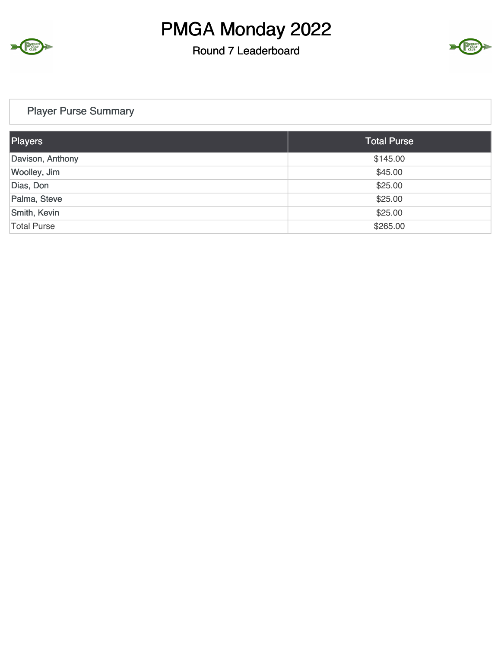

#### Round 7 Leaderboard



#### Player Purse Summary

| Players            | <b>Total Purse</b> |
|--------------------|--------------------|
| Davison, Anthony   | \$145.00           |
| Woolley, Jim       | \$45.00            |
| Dias, Don          | \$25.00            |
| Palma, Steve       | \$25.00            |
| Smith, Kevin       | \$25.00            |
| <b>Total Purse</b> | \$265.00           |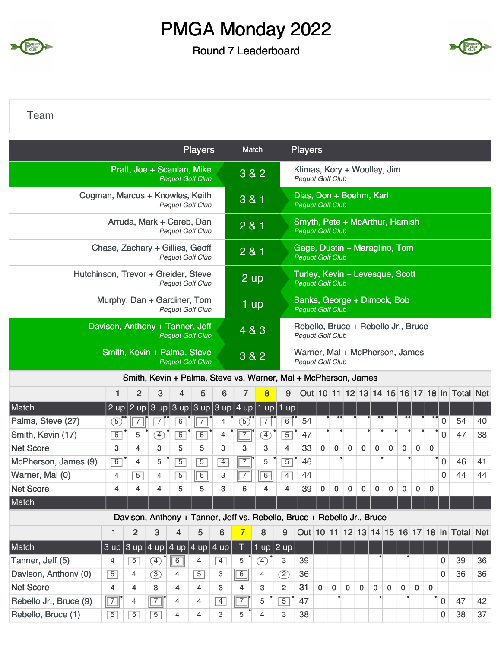

Round 7 Leaderboard



Team

|                                     |                                 |                |                                                                         |                | <b>Players</b>              |                |                | Match          |                | <b>Players</b>                                             |             |                  |              |              |             |              |             |              |              |                  |                                             |    |
|-------------------------------------|---------------------------------|----------------|-------------------------------------------------------------------------|----------------|-----------------------------|----------------|----------------|----------------|----------------|------------------------------------------------------------|-------------|------------------|--------------|--------------|-------------|--------------|-------------|--------------|--------------|------------------|---------------------------------------------|----|
|                                     |                                 |                | Pratt, Joe + Scanlan, Mike                                              |                | <b>Pequot Golf Club</b>     |                |                | 3 & 2          |                | Klimas, Kory + Woolley, Jim<br><b>Pequot Golf Club</b>     |             |                  |              |              |             |              |             |              |              |                  |                                             |    |
|                                     | Cogman, Marcus + Knowles, Keith |                |                                                                         |                | <b>Pequot Golf Club</b>     |                | 3 & 1          |                |                | Dias, Don + Boehm, Karl<br><b>Pequot Golf Club</b>         |             |                  |              |              |             |              |             |              |              |                  |                                             |    |
|                                     |                                 |                | Arruda, Mark + Careb, Dan                                               |                | <b>Pequot Golf Club</b>     |                | 2 & 1          |                |                | Smyth, Pete + McArthur, Hamish<br><b>Pequot Golf Club</b>  |             |                  |              |              |             |              |             |              |              |                  |                                             |    |
|                                     | Chase, Zachary + Gillies, Geoff |                |                                                                         |                | <b>Pequot Golf Club</b>     |                |                | 281            |                | Gage, Dustin + Maraglino, Tom<br><b>Pequot Golf Club</b>   |             |                  |              |              |             |              |             |              |              |                  |                                             |    |
| Hutchinson, Trevor + Greider, Steve |                                 |                |                                                                         |                | <b>Pequot Golf Club</b>     |                |                | 2 up           |                | Turley, Kevin + Levesque, Scott<br><b>Pequot Golf Club</b> |             |                  |              |              |             |              |             |              |              |                  |                                             |    |
|                                     | Murphy, Dan + Gardiner, Tom     |                |                                                                         |                | <b>Pequot Golf Club</b>     |                |                | 1 up           |                | Banks, George + Dimock, Bob<br><b>Pequot Golf Club</b>     |             |                  |              |              |             |              |             |              |              |                  |                                             |    |
|                                     | Davison, Anthony + Tanner, Jeff |                |                                                                         |                | <b>Pequot Golf Club</b>     |                |                | 4 & 3          |                | Rebello, Bruce + Rebello Jr., Bruce<br>Pequot Golf Club    |             |                  |              |              |             |              |             |              |              |                  |                                             |    |
|                                     | Smith, Kevin + Palma, Steve     |                |                                                                         |                | <b>Pequot Golf Club</b>     |                |                | $3&8&2$        |                | Warner, Mal + McPherson, James<br><b>Pequot Golf Club</b>  |             |                  |              |              |             |              |             |              |              |                  |                                             |    |
|                                     |                                 |                | Smith, Kevin + Palma, Steve vs. Warner, Mal + McPherson, James          |                |                             |                |                |                |                |                                                            |             |                  |              |              |             |              |             |              |              |                  |                                             |    |
|                                     | 1                               | $\overline{2}$ | 3                                                                       | 4              | 5                           | 6              | 7              | 8              | 9              |                                                            |             |                  |              |              |             |              |             |              |              |                  | Out 10 11 12 13 14 15 16 17 18 In Total Net |    |
| Match                               | $2 \text{ up}$                  |                | $2$ up $3$ up                                                           |                | $ 3$ up $ 3$ up $ 3$ up     |                | 4 up           |                | 1 up   1 up    |                                                            |             |                  |              |              |             |              |             |              |              |                  |                                             |    |
| Palma, Steve (27)                   | $\circled{5}$                   |                | $\bar{7}$                                                               | 6              |                             | 4              | $\mathfrak{D}$ | $\overline{7}$ | 6              | 54                                                         |             | $\bullet\bullet$ |              |              |             |              |             |              | $\bullet$    | $\mathbf 0$      | 54                                          | 40 |
| Smith, Kevin (17)                   | 6                               | 5              | <sup>4</sup>                                                            | 6              | $\overline{6}$              | 4              | $\overline{7}$ | Ð              | $\overline{5}$ | 47                                                         |             |                  |              |              |             |              |             |              |              | $\overline{0}$   | 47                                          | 38 |
| <b>Net Score</b>                    | 3                               | 4              | 3                                                                       | 5              | 5                           | 3              | 3              | 3              | 4              | 33                                                         | $\mathbf 0$ | 0                | $\mathbf 0$  | $\mathbf 0$  | $\mathbf 0$ | $\mathbf 0$  | 0           | $\mathbf 0$  | 0            |                  |                                             |    |
| McPherson, James (9)                | 6                               | 4              | 5                                                                       | $\overline{5}$ | $\overline{5}$              | $\overline{4}$ | $\overline{7}$ | 5              | $\overline{5}$ | 46                                                         |             |                  |              |              |             |              |             |              |              | ۰<br>$\mathbf 0$ | 46                                          | 41 |
| Warner, Mal (0)                     | 4                               | $\overline{5}$ | 4                                                                       | $\overline{5}$ | $\sqrt{6}$                  | 3              | $\sqrt{7}$     | 6              | $\overline{4}$ | 44                                                         |             |                  |              |              |             |              |             |              |              | $\Omega$         | 44                                          | 44 |
| <b>Net Score</b>                    | 4                               | 4              | 4                                                                       | 5              | 5                           | 3              | 6              | 4              | 4              | 39                                                         | 0           | 0                | 0            | 0            | $\mathbf 0$ | $\mathbf 0$  | 0           | 0            | 0            |                  |                                             |    |
| Match                               |                                 |                |                                                                         |                |                             |                |                |                |                |                                                            |             |                  |              |              |             |              |             |              |              |                  |                                             |    |
|                                     |                                 |                | Davison, Anthony + Tanner, Jeff vs. Rebello, Bruce + Rebello Jr., Bruce |                |                             |                |                |                |                |                                                            |             |                  |              |              |             |              |             |              |              |                  |                                             |    |
|                                     | 1                               | $\overline{2}$ | 3                                                                       | 4              | 5                           | 6              | 7              | 8              | 9              |                                                            |             |                  |              |              |             |              |             |              |              |                  | Out 10 11 12 13 14 15 16 17 18 In Total Net |    |
| Match                               | $3$ up $3$ up                   |                | $ 4 \text{ up} 4 \text{ up} $                                           |                | $4 \text{ up} 4 \text{ up}$ |                | $\top$         |                | $1$ up $2$ up  |                                                            |             |                  |              |              |             |              |             |              |              |                  |                                             |    |
| Tanner, Jeff (5)                    | 4                               | $\overline{5}$ | Ð                                                                       | $\boxed{6}$    | 4                           | $\overline{4}$ | 5              | $\circled{4}$  | 3              | 39                                                         |             |                  |              |              |             |              |             |              |              | 0                | 39                                          | 36 |
| Davison, Anthony (0)                | $\overline{5}$                  | 4              | (3)                                                                     | 4              | $\overline{5}$              | 3              | $\boxed{6}$    | $\overline{4}$ | $\circled{2}$  | 36                                                         |             |                  |              |              |             |              |             |              |              | 0                | 36                                          | 36 |
| <b>Net Score</b>                    | 4                               | 4              | 3                                                                       | 4              | 4                           | 3              | 4              | 3              | $\overline{2}$ | 31                                                         | $\mathbf 0$ | $\mathbf 0$      | $\mathbf{0}$ | $\mathbf{0}$ | $\mathbf 0$ | $\mathbf{0}$ | $\mathbf 0$ | $\mathbf{0}$ | $\mathbf{0}$ |                  |                                             |    |
| Rebello Jr., Bruce (9)              | $\boxed{7}$                     | 4              | $\sqrt{7}$                                                              | 4              | $\overline{4}$              | $\overline{4}$ | $\overline{7}$ | 5              | $\overline{5}$ | 47                                                         |             |                  |              |              |             |              |             |              | $\bullet$    | $\mathbf 0$      | 47                                          | 42 |
| Rebello, Bruce (1)                  | $\overline{5}$                  | $\overline{5}$ | $\overline{5}$                                                          | 4              | $\overline{4}$              | 3              | 5              | $\overline{4}$ | 3              | 38                                                         |             |                  |              |              |             |              |             |              |              | $\mathbf 0$      | 38                                          | 37 |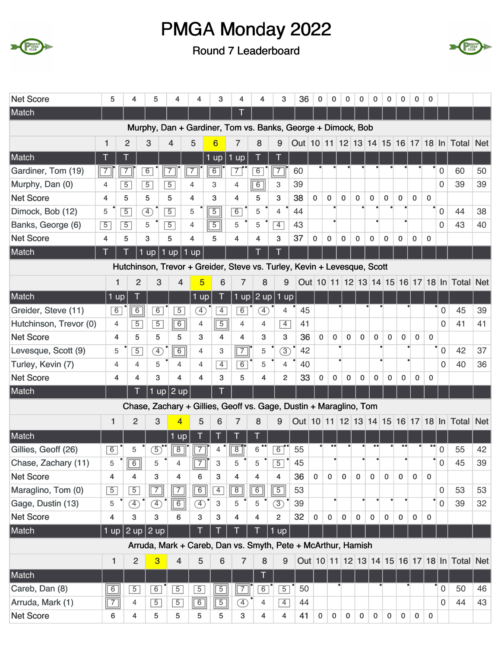



| <b>Net Score</b>       | 5              | 4              | 5                                                                       | 4                                   | 4              |                   | 3              | 4              | 4              | 3              | 36 | 0            | 0              | $\pmb{0}$   | 0           | 0           | 0           | 0           | 0           | 0                |                  |                                             |    |
|------------------------|----------------|----------------|-------------------------------------------------------------------------|-------------------------------------|----------------|-------------------|----------------|----------------|----------------|----------------|----|--------------|----------------|-------------|-------------|-------------|-------------|-------------|-------------|------------------|------------------|---------------------------------------------|----|
| Match                  |                |                |                                                                         |                                     |                |                   |                | Τ              |                |                |    |              |                |             |             |             |             |             |             |                  |                  |                                             |    |
|                        |                |                | Murphy, Dan + Gardiner, Tom vs. Banks, George + Dimock, Bob             |                                     |                |                   |                |                |                |                |    |              |                |             |             |             |             |             |             |                  |                  |                                             |    |
|                        | 1              | $\overline{2}$ | 3                                                                       | 4                                   | 5              | $6\phantom{1}6$   |                | 7              | 8              | 9              |    |              |                |             |             |             |             |             |             |                  |                  | Out 10 11 12 13 14 15 16 17 18 In Total Net |    |
| Match                  | T              |                |                                                                         |                                     |                | $1 \overline{up}$ |                | 1 up           | Ţ              |                |    |              |                |             |             |             |             |             |             |                  |                  |                                             |    |
| Gardiner, Tom (19)     | $\sqrt{7}$     | $\overline{7}$ | 6                                                                       | 7                                   | $\overline{7}$ | $\boxed{6}$       |                | $\overline{7}$ | $6\overline{}$ | $7\vert$       | 60 |              |                |             |             |             |             |             |             |                  | $\boldsymbol{0}$ | 60                                          | 50 |
| Murphy, Dan (0)        | 4              | $\overline{5}$ | $\overline{5}$                                                          | $\overline{5}$                      | 4              | 3                 |                | 4              | $\boxed{6}$    | 3              | 39 |              |                |             |             |             |             |             |             |                  | $\overline{0}$   | 39                                          | 39 |
| <b>Net Score</b>       | 4              | 5              | 5                                                                       | 5                                   | 4              | 3                 |                | 4              | 5              | 3              | 38 | $\mathbf 0$  | 0              | $\mathbf 0$ | $\mathbf 0$ | $\mathbf 0$ | $\mathbf 0$ | 0           | $\mathbf 0$ | $\mathbf{0}$     |                  |                                             |    |
| Dimock, Bob (12)       | 5              | $\overline{5}$ | $\circled{4}$                                                           | $\overline{5}$                      | 5              | $\overline{5}$    |                | 6              | 5              | $\overline{4}$ | 44 |              |                |             |             |             |             |             |             |                  | $\overline{0}$   | 44                                          | 38 |
| Banks, George (6)      | $\overline{5}$ | $\overline{5}$ | 5                                                                       | $\overline{5}$                      | $\overline{4}$ | $\overline{5}$    |                | 5              | 5              | $\overline{4}$ | 43 |              | $\bullet$      |             |             |             |             |             |             |                  | $\Omega$         | 43                                          | 40 |
| <b>Net Score</b>       | 4              | 5              | 3                                                                       | 5                                   | 4              | 5                 |                | 4              | 4              | 3              | 37 | 0            | 0              | 0           | $\bf{0}$    | $\mathbf 0$ | 0           | 0           | $\mathbf 0$ | $\mathbf{0}$     |                  |                                             |    |
| Match                  | Т              |                | $1$ up                                                                  | $1$ up                              | $1 \text{ up}$ |                   |                |                | Π              |                |    |              |                |             |             |             |             |             |             |                  |                  |                                             |    |
|                        |                |                | Hutchinson, Trevor + Greider, Steve vs. Turley, Kevin + Levesque, Scott |                                     |                |                   |                |                |                |                |    |              |                |             |             |             |             |             |             |                  |                  |                                             |    |
|                        |                | 1              | $\overline{2}$                                                          | 3                                   | $\overline{4}$ | 5                 | 6              | $\overline{7}$ | 8              | 9              |    |              |                |             |             |             |             |             |             |                  |                  | Out 10 11 12 13 14 15 16 17 18 In Total Net |    |
| Match                  | $1$ up         |                |                                                                         |                                     |                | $1$ up            |                | 1 up $ 2$ up   |                | $1$ up         |    |              |                |             |             |             |             |             |             |                  |                  |                                             |    |
| Greider, Steve (11)    | $\overline{6}$ |                | $\overline{6}$<br>$\overline{6}$                                        | $\overline{5}$                      |                | Œ                 | $\overline{4}$ | $\overline{6}$ | $\circledA$    | 4              | 45 |              |                |             |             |             |             |             |             |                  | $\mathbf 0$      | 45                                          | 39 |
| Hutchinson, Trevor (0) |                | 4              | $\overline{5}$<br>$\overline{5}$                                        | $\boxed{6}$                         |                | 4                 | $\boxed{5}$    | $\overline{4}$ | 4              | $\overline{4}$ | 41 |              |                |             |             |             |             |             |             |                  | $\Omega$         | 41                                          | 41 |
| <b>Net Score</b>       |                | 4              | 5<br>5                                                                  | 5                                   |                | 3                 | 4              | 4              | 3              | 3              | 36 | 0            | $\mathbf 0$    | $\mathbf 0$ | $\mathbf 0$ | $\mathbf 0$ | $\mathbf 0$ | $\pmb{0}$   | $\mathbf 0$ | $\mathbf 0$      |                  |                                             |    |
| Levesque, Scott (9)    |                | 5              | $\overline{5}$                                                          | $\circledA$                         | 6              | $\overline{4}$    | 3              | $\sqrt{7}$     | 5              | $\circled{3}$  | 42 |              |                |             |             |             |             |             |             |                  | $\mathbf 0$      | 42                                          | 37 |
| Turley, Kevin (7)      |                | 4              | 5<br>$\overline{4}$                                                     | $\overline{4}$                      |                | 4                 | $\overline{4}$ | 6              | 5              | $\overline{4}$ | 40 |              |                |             |             |             |             |             |             |                  | $\overline{0}$   | 40                                          | 36 |
| <b>Net Score</b>       |                | 4              | 3<br>4                                                                  |                                     | 4              | 4                 | 3              | 5              | 4              | $\overline{c}$ | 33 | 0            | 0              | 0           | $\mathbf 0$ | 0           | 0           | 0           | 0           | $\mathbf 0$      |                  |                                             |    |
| Match                  |                |                | Τ                                                                       | $\overline{1}$ up $\overline{2}$ up |                |                   |                |                |                |                |    |              |                |             |             |             |             |             |             |                  |                  |                                             |    |
|                        |                |                | Chase, Zachary + Gillies, Geoff vs. Gage, Dustin + Maraglino, Tom       |                                     |                |                   |                |                |                |                |    |              |                |             |             |             |             |             |             |                  |                  |                                             |    |
|                        | 1              | $\overline{2}$ | 3                                                                       |                                     | 4              | 5                 | 6              | 7              | 8              | 9              |    |              |                |             |             |             |             |             |             |                  |                  | Out 10 11 12 13 14 15 16 17 18 In Total Net |    |
| Match                  |                |                |                                                                         | $1$ up                              |                |                   |                |                | т              |                |    |              |                |             |             |             |             |             |             |                  |                  |                                             |    |
| Gillies, Geoff (26)    | 6              | 5              | 5)                                                                      | $\overline{8}$                      | 7              |                   | 4              | $\overline{8}$ | 6              | $\overline{6}$ | 55 |              |                |             |             |             |             |             |             | $\bullet\bullet$ | 0                | 55                                          | 42 |
| Chase, Zachary (11)    | 5              | 6              | 5                                                                       | 4                                   | $\sqrt{7}$     |                   | 3              | 5              | 5              | $\overline{5}$ | 45 |              |                |             |             |             |             |             |             |                  | 0                | 45                                          | 39 |
| <b>Net Score</b>       | 4              | 4              | 3                                                                       | 4                                   |                | 6                 | 3              | 4              | 4              | 4              | 36 | $\mathbf{0}$ | $\overline{0}$ | 0           | $\mathbf 0$ | $\mathbf 0$ | $\mathbf 0$ | 0           | $\Omega$    | $\mathbf{0}$     |                  |                                             |    |
| Maraglino, Tom (0)     | $\overline{5}$ | $\overline{5}$ | $\boxed{7}$                                                             | $\boxed{7}$                         |                | $\boxed{6}$       | $\overline{4}$ | $\overline{8}$ | 6              | $\overline{5}$ | 53 |              |                |             |             |             |             |             |             |                  | $\mathbf 0$      | 53                                          | 53 |
| Gage, Dustin (13)      | 5              | $\circled{4}$  | ④                                                                       |                                     | $\boxed{6}$    | $\circled{4}$     | 3              | 5              | 5              | (3)            | 39 |              |                |             |             |             |             |             |             |                  | $\mathbf 0$      | 39                                          | 32 |
| <b>Net Score</b>       | 4              | 3              | 3                                                                       | 6                                   |                | 3                 | 3              | 4              | 4              | $\overline{c}$ | 32 | $\mathbf 0$  | $\mathbf 0$    | $\mathbf 0$ | $\mathbf 0$ | $\mathbf 0$ | $\mathbf 0$ | $\mathbf 0$ | $\mathbf 0$ | $\mathbf 0$      |                  |                                             |    |
| Match                  |                |                | 1 up $ 2$ up $ 2$ up $ $                                                |                                     | T              |                   |                |                |                | $1$ up         |    |              |                |             |             |             |             |             |             |                  |                  |                                             |    |
|                        |                |                | Arruda, Mark + Careb, Dan vs. Smyth, Pete + McArthur, Hamish            |                                     |                |                   |                |                |                |                |    |              |                |             |             |             |             |             |             |                  |                  |                                             |    |
|                        | 1              | $\overline{2}$ | 3                                                                       | $\overline{\mathbf{4}}$             |                | 5                 | 6              | $\overline{7}$ | 8              | 9              |    |              |                |             |             |             |             |             |             |                  |                  | Out 10 11 12 13 14 15 16 17 18 In Total Net |    |
| Match                  |                |                |                                                                         |                                     |                |                   |                |                | т              |                |    |              |                |             |             |             |             |             |             |                  |                  |                                             |    |
| Careb, Dan (8)         | $\boxed{6}$    | $\overline{5}$ | 6                                                                       | $\overline{5}$                      |                | $\overline{5}$    | $\boxed{5}$    | $\boxed{7}$    | 6              | $\overline{5}$ | 50 |              |                |             |             |             |             |             |             |                  | 0                | 50                                          | 46 |
| Arruda, Mark (1)       | $\boxed{7}$    | $\overline{4}$ | $\overline{5}$                                                          | $\overline{5}$                      | $\sqrt{6}$     |                   | $\boxed{5}$    | Ð              | $\overline{4}$ | $\overline{4}$ | 44 |              |                |             |             |             |             |             |             |                  | 0                | 44                                          | 43 |
| <b>Net Score</b>       | 6              | 4              | 5                                                                       | 5                                   | 5              |                   | 5              | 3              | 4              | 4              | 41 | 0            | $\overline{0}$ | $\mathbf 0$ | $\mathbf 0$ | $\mathbf 0$ | $\mathbf 0$ | $\pmb{0}$   | $\mathbf 0$ | $\mathbf 0$      |                  |                                             |    |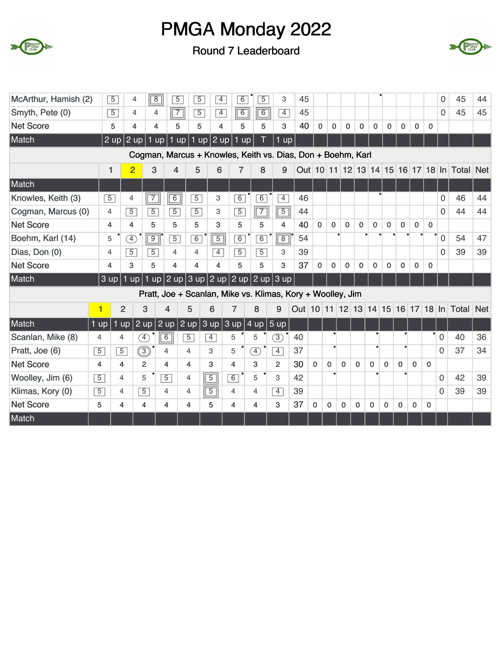



| McArthur, Hamish (2) |                         | $\overline{5}$          | $\overline{4}$                   | $\sqrt{8}$                       | $\overline{5}$<br>$\overline{5}$                                                                           | $\overline{4}$ | $\overline{6}$ | $\overline{5}$ | 3                   | 45 |              |              |              |              |             |              |             |              |              | $\overline{0}$ | 45                                      | 44         |
|----------------------|-------------------------|-------------------------|----------------------------------|----------------------------------|------------------------------------------------------------------------------------------------------------|----------------|----------------|----------------|---------------------|----|--------------|--------------|--------------|--------------|-------------|--------------|-------------|--------------|--------------|----------------|-----------------------------------------|------------|
| Smyth, Pete (0)      |                         | $\overline{5}$          | 4                                | $\sqrt{7}$<br>$\overline{4}$     | $\overline{5}$                                                                                             | $\overline{4}$ | 6              | $\overline{6}$ | $\overline{4}$      | 45 |              |              |              |              |             |              |             |              |              | 0              | 45                                      | 45         |
| <b>Net Score</b>     |                         | 5                       | $\overline{\mathbf{4}}$          | 4                                | 5<br>5                                                                                                     | 4              | 5              | 5              | 3                   | 40 | $\mathbf 0$  | $\mathbf 0$  | $\mathbf 0$  | $\mathbf 0$  | $\mathbf 0$ | 0            | $\mathbf 0$ | $\mathbf 0$  | $\mathbf{0}$ |                |                                         |            |
| Match                |                         | $2 \text{ up}$          | 2 up                             | up                               | $1$ up                                                                                                     | $1$ up $2$ up  | 1 up           |                | $1 \overline{up}$   |    |              |              |              |              |             |              |             |              |              |                |                                         |            |
|                      |                         |                         |                                  |                                  | Cogman, Marcus + Knowles, Keith vs. Dias, Don + Boehm, Karl                                                |                |                |                |                     |    |              |              |              |              |             |              |             |              |              |                |                                         |            |
|                      | 1                       |                         | $\overline{2}$                   | 3<br>4                           | 5                                                                                                          | 6              | 7              | 8              | 9                   |    |              |              |              |              |             |              |             |              |              |                | Out 10 11 12 13 14 15 16 17 18 In Total | <b>Net</b> |
| Match                |                         |                         |                                  |                                  |                                                                                                            |                |                |                |                     |    |              |              |              |              |             |              |             |              |              |                |                                         |            |
| Knowles, Keith (3)   | $\overline{5}$          |                         | $\overline{7}$<br>4              | $\overline{6}$                   | $\overline{5}$                                                                                             | 3              | $\overline{6}$ | $\overline{6}$ | $\overline{4}$      | 46 |              |              |              |              |             |              |             |              |              | 0              | 46                                      | 44         |
| Cogman, Marcus (0)   | $\overline{4}$          |                         | $\overline{5}$<br>$\overline{5}$ | $\overline{5}$                   | $\overline{5}$                                                                                             | 3              | $\overline{5}$ | $\overline{7}$ | $\boxed{5}$         | 44 |              |              |              |              |             |              |             |              |              | 0              | 44                                      | 44         |
| <b>Net Score</b>     | 4                       | 4                       | 5                                | 5                                | 5                                                                                                          | 3              | 5              | 5              | 4                   | 40 | $\mathbf{0}$ | $\mathbf 0$  | $\mathbf 0$  | $\mathbf{0}$ | $\mathbf 0$ | $\mathbf{0}$ | $\mathbf 0$ | $\mathbf 0$  | $\mathbf{0}$ |                |                                         |            |
| Boehm, Karl (14)     | 5                       |                         | $\left( \overline{4}\right)$     | $\overline{9}$<br>$\overline{5}$ | 6                                                                                                          | $\overline{5}$ | 6              | $\overline{6}$ | $\boxed{8}$         | 54 |              |              |              |              |             |              |             |              |              | $\overline{0}$ | 54                                      | 47         |
| Dias, Don (0)        | $\overline{4}$          |                         | $\overline{5}$<br>$\overline{5}$ | 4                                | 4                                                                                                          | $\overline{4}$ | $\overline{5}$ | $\overline{5}$ | 3                   | 39 |              |              |              |              |             |              |             |              |              | $\Omega$       | 39                                      | 39         |
| <b>Net Score</b>     | 4                       |                         | 5<br>3                           | $\overline{\mathbf{A}}$          | 4                                                                                                          | 4              | 5              | 5              | 3                   | 37 | $\mathbf{0}$ | $\mathbf{0}$ | $\mathbf 0$  | $\mathbf 0$  | $\mathbf 0$ | $\mathbf{0}$ | 0           | $\Omega$     | $\mathbf{0}$ |                |                                         |            |
| Match                | $3 \overline{up}$       | 1                       |                                  |                                  | $\vert \text{up} \vert$ 1 up $\vert$ 2 up $\vert$ 3 up $\vert$ 2 up $\vert$ 2 up $\vert$ 2 up $\vert$ 3 up |                |                |                |                     |    |              |              |              |              |             |              |             |              |              |                |                                         |            |
|                      |                         |                         |                                  |                                  | Pratt, Joe + Scanlan, Mike vs. Klimas, Kory + Woolley, Jim                                                 |                |                |                |                     |    |              |              |              |              |             |              |             |              |              |                |                                         |            |
|                      | $\overline{\mathbf{1}}$ | $\overline{2}$          | 3                                | $\overline{\mathbf{A}}$          | 5                                                                                                          | 6              | $\overline{7}$ | 8              | 9                   |    |              |              |              |              |             |              |             |              |              |                | Out 10 11 12 13 14 15 16 17 18 In Total | <b>Net</b> |
| Match                | $1$ up                  | $1$ up                  | $2 \overline{up}$                | $\sqrt{2}$ up                    | 2 up                                                                                                       | 3 up           | 3 up           |                | $4 \text{ up}$ 5 up |    |              |              |              |              |             |              |             |              |              |                |                                         |            |
| Scanlan, Mike (8)    | $\overline{4}$          | 4                       | F)                               | $\boxed{6}$                      | $\overline{5}$                                                                                             | $\overline{4}$ | 5              | 5              | $\circled{3}$       | 40 |              |              |              |              | ٠           |              |             |              |              | $\mathbf 0$    | 40                                      | 36         |
| Pratt, Joe (6)       | $\overline{5}$          | $\overline{5}$          | $\circledS$                      | 4                                | 4                                                                                                          | 3              | 5              | $\circled{4}$  | $\overline{4}$      | 37 |              | $\bullet$    |              |              |             |              |             |              |              | $\Omega$       | 37                                      | 34         |
| <b>Net Score</b>     | $\overline{4}$          | $\overline{\mathbf{4}}$ | $\overline{c}$                   | 4                                | 4                                                                                                          | 3              | 4              | 3              | $\overline{2}$      | 30 | $\mathbf 0$  | 0            | $\Omega$     | $\mathbf 0$  | $\mathbf 0$ | $\mathbf{0}$ | $\Omega$    | $\Omega$     | $\mathbf{0}$ |                |                                         |            |
| Woolley, Jim (6)     | $\overline{5}$          | $\overline{4}$          | 5                                | $\overline{5}$                   | $\overline{4}$                                                                                             | $\overline{5}$ | 6              | 5              | 3                   | 42 |              |              |              |              |             |              |             |              |              | $\overline{0}$ | 42                                      | 39         |
| Klimas, Kory (0)     | $\overline{5}$          | 4                       | $\overline{5}$                   | 4                                | 4                                                                                                          | $\overline{5}$ | $\overline{4}$ | 4              | $\overline{4}$      | 39 |              |              |              |              |             |              |             |              |              | 0              | 39                                      | 39         |
| <b>Net Score</b>     | 5                       | $\overline{\mathbf{4}}$ | 4                                | 4                                | 4                                                                                                          | 5              | 4              | 4              | 3                   | 37 | $\mathbf 0$  | 0            | $\mathbf{0}$ | 0            | $\mathbf 0$ | 0            | 0           | $\mathbf{0}$ | $\mathbf 0$  |                |                                         |            |
| Match                |                         |                         |                                  |                                  |                                                                                                            |                |                |                |                     |    |              |              |              |              |             |              |             |              |              |                |                                         |            |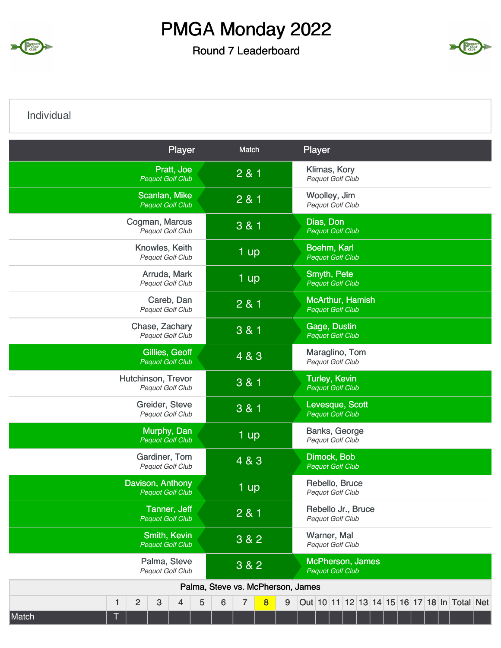

Round 7 Leaderboard



Individual

|       |   |                    |   | Player                                         |   |                                   | Match |   |   | Player |                                                 |  |  |  |  |                                             |
|-------|---|--------------------|---|------------------------------------------------|---|-----------------------------------|-------|---|---|--------|-------------------------------------------------|--|--|--|--|---------------------------------------------|
|       |   |                    |   | Pratt, Joe<br><b>Pequot Golf Club</b>          |   |                                   | 2 & 1 |   |   |        | Klimas, Kory<br>Pequot Golf Club                |  |  |  |  |                                             |
|       |   |                    |   | Scanlan, Mike<br><b>Pequot Golf Club</b>       |   |                                   | 2 & 1 |   |   |        | Woolley, Jim<br><b>Pequot Golf Club</b>         |  |  |  |  |                                             |
|       |   | Cogman, Marcus     |   | Pequot Golf Club                               |   |                                   | 3 & 1 |   |   |        | Dias, Don<br><b>Pequot Golf Club</b>            |  |  |  |  |                                             |
|       |   |                    |   | Knowles, Keith<br>Pequot Golf Club             |   |                                   | 1 up  |   |   |        | Boehm, Karl<br><b>Pequot Golf Club</b>          |  |  |  |  |                                             |
|       |   |                    |   | Arruda, Mark<br>Pequot Golf Club               |   |                                   | 1 up  |   |   |        | Smyth, Pete<br><b>Pequot Golf Club</b>          |  |  |  |  |                                             |
|       |   |                    |   | Careb, Dan<br>Pequot Golf Club                 |   |                                   | 2 & 1 |   |   |        | McArthur, Hamish<br><b>Pequot Golf Club</b>     |  |  |  |  |                                             |
|       |   |                    |   | Chase, Zachary<br>Pequot Golf Club             |   |                                   | 3 & 1 |   |   |        | Gage, Dustin<br><b>Pequot Golf Club</b>         |  |  |  |  |                                             |
|       |   |                    |   | Gillies, Geoff<br><b>Pequot Golf Club</b>      |   |                                   | 4 & 3 |   |   |        | Maraglino, Tom<br><b>Pequot Golf Club</b>       |  |  |  |  |                                             |
|       |   | Hutchinson, Trevor |   | Pequot Golf Club                               |   |                                   | 3 & 1 |   |   |        | <b>Turley, Kevin</b><br><b>Pequot Golf Club</b> |  |  |  |  |                                             |
|       |   |                    |   | Greider, Steve<br>Pequot Golf Club             |   |                                   | 3 & 1 |   |   |        | Levesque, Scott<br>Pequot Golf Club             |  |  |  |  |                                             |
|       |   |                    |   | Murphy, Dan<br><b>Pequot Golf Club</b>         |   |                                   | 1 up  |   |   |        | Banks, George<br><b>Pequot Golf Club</b>        |  |  |  |  |                                             |
|       |   |                    |   | Gardiner, Tom<br>Pequot Golf Club              |   |                                   | 4 & 3 |   |   |        | Dimock, Bob<br><b>Pequot Golf Club</b>          |  |  |  |  |                                             |
|       |   | Davison, Anthony   |   | <b>Pequot Golf Club</b>                        |   |                                   | 1 up  |   |   |        | Rebello, Bruce<br>Pequot Golf Club              |  |  |  |  |                                             |
|       |   |                    |   | <b>Tanner, Jeff</b><br><b>Pequot Golf Club</b> |   |                                   | 2 & 1 |   |   |        | Rebello Jr., Bruce<br>Pequot Golf Club          |  |  |  |  |                                             |
|       |   |                    |   | Smith, Kevin<br><b>Pequot Golf Club</b>        |   |                                   | 3 & 2 |   |   |        | Warner, Mal<br>Pequot Golf Club                 |  |  |  |  |                                             |
|       |   |                    |   | Palma, Steve<br>Pequot Golf Club               |   |                                   | 3 & 2 |   |   |        | McPherson, James<br><b>Pequot Golf Club</b>     |  |  |  |  |                                             |
|       |   |                    |   |                                                |   | Palma, Steve vs. McPherson, James |       |   |   |        |                                                 |  |  |  |  |                                             |
|       | 1 | $\overline{c}$     | 3 | $\overline{4}$                                 | 5 | 6                                 | 7     | 8 | 9 |        |                                                 |  |  |  |  | Out 10 11 12 13 14 15 16 17 18 In Total Net |
| Match |   |                    |   |                                                |   |                                   |       |   |   |        |                                                 |  |  |  |  |                                             |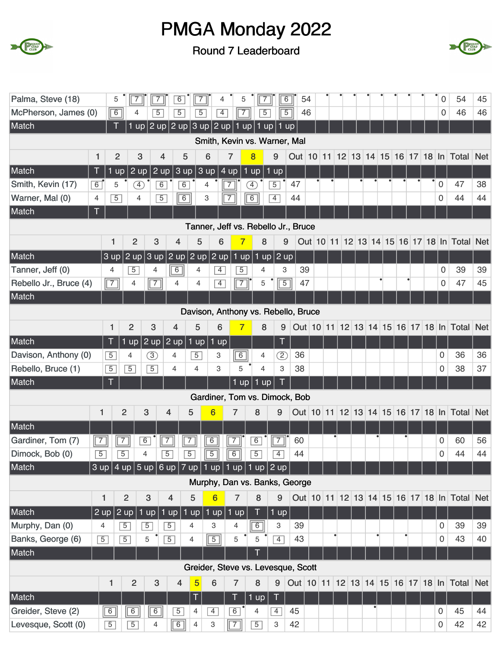



| Palma, Steve (18)                   | 5              | $\overline{7}$    | $\overline{7}$ | 6                 | $\overline{7}$                                                                                                            | 4               | 5                       | $\sqrt{7}$                          |                | $\overline{6}$ | 54 |  |  |   |  | 0                   | 54                                                                  | 45 |
|-------------------------------------|----------------|-------------------|----------------|-------------------|---------------------------------------------------------------------------------------------------------------------------|-----------------|-------------------------|-------------------------------------|----------------|----------------|----|--|--|---|--|---------------------|---------------------------------------------------------------------|----|
| McPherson, James (0)                | $\boxed{6}$    | 4                 | $\overline{5}$ | $\overline{5}$    | $\overline{5}$                                                                                                            | $\overline{4}$  | $\boxed{7}$             | $\overline{5}$                      |                | $\overline{5}$ | 46 |  |  |   |  | 0                   | 46                                                                  | 46 |
| Match                               | $\top$         | 1 up $ $          |                |                   | 2 up 2 up 3 up 2 up 1 up                                                                                                  |                 |                         | $1$ up                              |                | $1$ up         |    |  |  |   |  |                     |                                                                     |    |
|                                     |                |                   |                |                   |                                                                                                                           |                 |                         | Smith, Kevin vs. Warner, Mal        |                |                |    |  |  |   |  |                     |                                                                     |    |
| 1                                   | $\overline{2}$ | 3                 |                | 4                 | 5                                                                                                                         | 6               | $\overline{7}$          | $\overline{\mathbf{8}}$             | 9              |                |    |  |  |   |  |                     | Out 10 11 12 13 14 15 16 17 18 In Total Net                         |    |
|                                     |                |                   |                |                   |                                                                                                                           |                 |                         |                                     |                |                |    |  |  |   |  |                     |                                                                     |    |
| Match<br>Τ                          | $1$ up         | $2 \text{ up}$    | 2 up           |                   | $ 3$ up                                                                                                                   | 3 up            | 4 up<br>1               | up                                  | $1$ up         |                |    |  |  |   |  | $\mathbf 0$         |                                                                     | 38 |
| Smith, Kevin (17)<br>6              | 5              | F)                | $6\overline{}$ |                   | $\overline{6}$                                                                                                            | 4               | 7                       | F)                                  | $\overline{5}$ | 47             |    |  |  |   |  | $\Omega$            | 47<br>44                                                            | 44 |
| Warner, Mal (0)<br>4<br>Match<br>T  | $\overline{5}$ | 4                 | $\overline{5}$ |                   | $\overline{6}$                                                                                                            | 3               | $\overline{7}$          | $\boxed{6}$                         | $\overline{4}$ | 44             |    |  |  |   |  |                     |                                                                     |    |
|                                     |                |                   |                |                   |                                                                                                                           |                 |                         | Tanner, Jeff vs. Rebello Jr., Bruce |                |                |    |  |  |   |  |                     |                                                                     |    |
|                                     | 1              | $\overline{2}$    | 3              | $\overline{4}$    | 5                                                                                                                         | 6               | 7                       | 8                                   |                | 9              |    |  |  |   |  |                     | Out 10 11 12 13 14 15 16 17 18 In Total Net                         |    |
| Match                               | 3 up           | $2$ up            | 3 up           |                   | 2 up $2$ up                                                                                                               |                 | $2$ up   1 up           | $1$ up                              | 2 up           |                |    |  |  |   |  |                     |                                                                     |    |
| Tanner, Jeff (0)                    | 4              | $\overline{5}$    | 4              | $\overline{6}$    | 4                                                                                                                         | $\overline{4}$  | $\overline{5}$          | 4                                   | 3              | 39             |    |  |  |   |  | 0                   | 39                                                                  | 39 |
| Rebello Jr., Bruce (4)              | $\boxed{7}$    | 4                 | $\sqrt{7}$     | 4                 | 4                                                                                                                         | $\overline{4}$  | $\overline{7}$          | 5                                   | $\boxed{5}$    | 47             |    |  |  |   |  | 0                   | 47                                                                  | 45 |
| Match                               |                |                   |                |                   |                                                                                                                           |                 |                         |                                     |                |                |    |  |  |   |  |                     |                                                                     |    |
|                                     |                |                   |                |                   | Davison, Anthony vs. Rebello, Bruce                                                                                       |                 |                         |                                     |                |                |    |  |  |   |  |                     |                                                                     |    |
|                                     | 1              | $\overline{2}$    | 3              | 4                 | 5                                                                                                                         | 6               | $\overline{\mathbf{7}}$ | 8                                   | 9              |                |    |  |  |   |  |                     | Out 10 11 12 13 14 15 16 17 18 In Total Net                         |    |
| Match                               | Τ              | $1 \overline{up}$ | $2$ up         | $2 \overline{up}$ | $1$ up                                                                                                                    | $1$ up          |                         |                                     | T              |                |    |  |  |   |  |                     |                                                                     |    |
| Davison, Anthony (0)                | $\overline{5}$ | 4                 | $\circled{3}$  | 4                 | $\overline{5}$                                                                                                            | 3               | $\boxed{6}$             | 4                                   | <u>∑</u>       | 36             |    |  |  |   |  | 0                   | 36                                                                  | 36 |
| Rebello, Bruce (1)                  | $\overline{5}$ | $\overline{5}$    | $\overline{5}$ | $\overline{4}$    | 4                                                                                                                         | 3               | 5                       | $\overline{4}$                      | 3              | 38             |    |  |  |   |  | 0                   | 38                                                                  | 37 |
| Match                               | T              |                   |                |                   |                                                                                                                           |                 | $1$ up                  | $\mathbf{1}$<br>up                  | T              |                |    |  |  |   |  |                     |                                                                     |    |
|                                     |                |                   |                |                   |                                                                                                                           |                 |                         | Gardiner, Tom vs. Dimock, Bob       |                |                |    |  |  |   |  |                     |                                                                     |    |
| 1                                   |                | $\overline{2}$    | 3              | 4                 | 5                                                                                                                         | $6\phantom{1}6$ | $\overline{7}$          | 8                                   | 9              |                |    |  |  |   |  |                     | Out   10   11   12   13   14   15   16   17   18   In   Total   Net |    |
| Match                               |                |                   |                |                   |                                                                                                                           |                 |                         |                                     |                |                |    |  |  |   |  |                     |                                                                     |    |
| $\boxed{7}$<br>Gardiner, Tom (7)    |                | 7                 | $\overline{6}$ | $\overline{7}$    | $\overline{7}$                                                                                                            | $\overline{6}$  | $\overline{7}$          | $\overline{6}$                      | 7              | 60             |    |  |  |   |  | 0                   | 60                                                                  | 56 |
| Dimock, Bob (0)<br>$\overline{5}$   |                | $\overline{5}$    | $\overline{4}$ | $\boxed{5}$       | $\boxed{5}$ $\boxed{5}$ $\boxed{6}$                                                                                       |                 |                         | $\boxed{5}$                         | $\overline{4}$ | 44             |    |  |  |   |  | 0                   | 44                                                                  | 44 |
| $\sqrt{ }$<br>Match                 |                |                   |                |                   | $3$ up $\left  4$ up $\left  5$ up $\right  6$ up $\left  7$ up $\left  1$ up $\right  1$ up $\left  1$ up $\right  2$ up |                 |                         |                                     |                |                |    |  |  |   |  |                     |                                                                     |    |
|                                     |                |                   |                |                   |                                                                                                                           |                 |                         | Murphy, Dan vs. Banks, George       |                |                |    |  |  |   |  |                     |                                                                     |    |
|                                     | 1              | $\overline{2}$    | 3              | 4                 | 5                                                                                                                         | $\overline{6}$  | 7                       | 8                                   | 9              |                |    |  |  |   |  |                     | Out 10 11 12 13 14 15 16 17 18 In Total Net                         |    |
| Match<br>$2 \text{ up}$             |                | $ 2 \text{ up} $  | $1$ up         | $1$ up            | $ 1$ up                                                                                                                   | $1$ up          | $1$ up                  | T                                   | $1$ up         |                |    |  |  |   |  |                     |                                                                     |    |
| Murphy, Dan (0)<br>4                |                | $\overline{5}$    | $\overline{5}$ | $\overline{5}$    | 4                                                                                                                         | 3               | 4                       | 6                                   | 3              | 39             |    |  |  |   |  | 0                   | 39                                                                  | 39 |
| Banks, George (6)<br>$\overline{5}$ |                | $\overline{5}$    | 5              | $\overline{5}$    | 4                                                                                                                         | $\boxed{5}$     | 5                       | 5                                   | $\overline{4}$ | 43             |    |  |  | ٠ |  | $\overline{0}$      | 43                                                                  | 40 |
| Match                               |                |                   |                |                   |                                                                                                                           |                 |                         |                                     |                |                |    |  |  |   |  |                     |                                                                     |    |
|                                     |                |                   |                |                   | Greider, Steve vs. Levesque, Scott                                                                                        |                 |                         |                                     |                |                |    |  |  |   |  |                     |                                                                     |    |
|                                     | 1              | $\overline{2}$    | 3              | $\overline{4}$    | $\overline{5}$                                                                                                            | 6               | $\overline{7}$          | 8                                   | 9              |                |    |  |  |   |  |                     | Out   10   11   12   13   14   15   16   17   18   In   Total   Net |    |
| Match                               |                |                   |                |                   | 1                                                                                                                         |                 | T                       | 1 up                                | Т              |                |    |  |  |   |  |                     |                                                                     |    |
| Greider, Steve (2)                  | 6              | 6                 | $\overline{6}$ | $\overline{5}$    | 4                                                                                                                         | $\overline{4}$  | $\overline{6}$          | 4                                   | $\overline{4}$ | 45             |    |  |  |   |  | 0                   | 45                                                                  | 44 |
| Levesque, Scott (0)                 | $\overline{5}$ | $\overline{5}$    | 4              | $\overline{6}$    | 4                                                                                                                         | 3               | $\sqrt{7}$              | $\overline{5}$                      | 3              | 42             |    |  |  |   |  | $\mathsf{O}\xspace$ | 42                                                                  | 42 |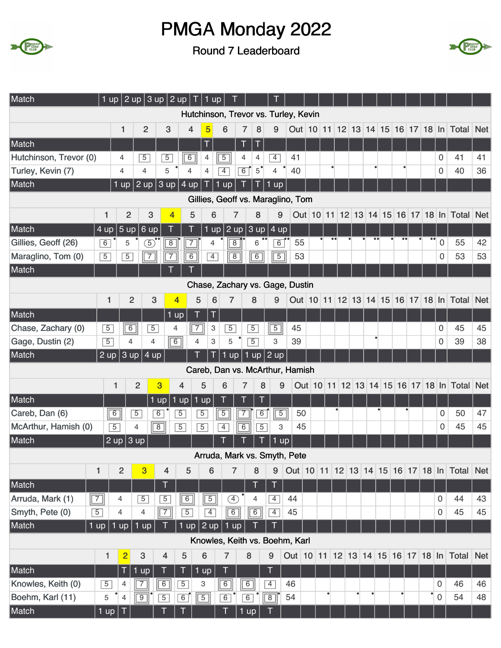



| Match                  | $1$ up         |                         | $\vert$ 2 up $\vert$ 3 up $\vert$ 2 up $\vert$ |                |                | $T$ 1 up       |                     |                |                |                      |                                      |   |  |  |   |                  |                     |                                                                     |            |
|------------------------|----------------|-------------------------|------------------------------------------------|----------------|----------------|----------------|---------------------|----------------|----------------|----------------------|--------------------------------------|---|--|--|---|------------------|---------------------|---------------------------------------------------------------------|------------|
|                        |                |                         |                                                |                |                |                |                     |                |                |                      | Hutchinson, Trevor vs. Turley, Kevin |   |  |  |   |                  |                     |                                                                     |            |
|                        |                | 1                       | $\overline{2}$                                 | 3              | 4              | 5              | 6                   | 7              | 8              | 9                    |                                      |   |  |  |   |                  |                     | Out   10   11   12   13   14   15   16   17   18   In   Total   Net |            |
| Match                  |                |                         |                                                |                |                | T              |                     | Т              | Τ              |                      |                                      |   |  |  |   |                  |                     |                                                                     |            |
| Hutchinson, Trevor (0) |                | 4                       | $\overline{5}$                                 | $\overline{5}$ | $\overline{6}$ | 4              | $\overline{5}$      | 4              | 4              | $\overline{4}$       | 41                                   |   |  |  |   |                  | 0                   | 41                                                                  | 41         |
| Turley, Kevin (7)      |                | $\overline{4}$          | 4                                              | 5              | $\overline{4}$ | 4              | $\overline{4}$      | $\overline{6}$ | $5^{\degree}$  | $\overline{4}$       | 40                                   |   |  |  | ٠ |                  | 0                   | 40                                                                  | 36         |
| Match                  |                | $1$ up                  | $\mid$ 2 up $\mid$ 3 up $\mid$ 4 up $\mid$     |                |                |                | $1 \text{ up}$      |                |                | $1$ up               |                                      |   |  |  |   |                  |                     |                                                                     |            |
|                        |                |                         |                                                |                |                |                |                     |                |                |                      | Gillies, Geoff vs. Maraglino, Tom    |   |  |  |   |                  |                     |                                                                     |            |
|                        | 1              | $\overline{2}$          | 3                                              | $\overline{4}$ | 5              |                | 6                   | $\overline{7}$ | 8              | 9                    |                                      |   |  |  |   |                  |                     | Out 10 11 12 13 14 15 16 17 18 In Total Net                         |            |
| Match                  | 4 up           | 5 up                    | 6 up                                           |                |                |                | $1$ up              |                |                | $2$ up $3$ up $4$ up |                                      |   |  |  |   |                  |                     |                                                                     |            |
| Gillies, Geoff (26)    | 6              | 5                       | $\overline{5}$                                 | $\overline{8}$ | $\overline{7}$ |                | 4                   | $\overline{8}$ | 6              | $\overline{6}$       | 55                                   |   |  |  |   | $\bullet\bullet$ | $\mathbf 0$         | 55                                                                  | 42         |
| Maraglino, Tom (0)     | $\overline{5}$ | $\overline{5}$          | $\boxed{7}$                                    | $\overline{7}$ | $\overline{6}$ |                | $\overline{4}$      | $\overline{8}$ | $\boxed{6}$    | $\overline{5}$       | 53                                   |   |  |  |   |                  | 0                   | 53                                                                  | 53         |
| Match                  |                |                         |                                                |                |                |                |                     |                |                |                      |                                      |   |  |  |   |                  |                     |                                                                     |            |
|                        |                |                         |                                                |                |                |                |                     |                |                |                      | Chase, Zachary vs. Gage, Dustin      |   |  |  |   |                  |                     |                                                                     |            |
|                        | $\mathbf{1}$   | $\overline{2}$          | 3                                              |                | $\overline{4}$ | 5              | 6<br>$\overline{7}$ |                | 8              | 9                    |                                      |   |  |  |   |                  |                     | Out 10 11 12 13 14 15 16 17 18 In Total                             | <b>Net</b> |
| Match                  |                |                         |                                                |                | 1 up           | Τ              | T                   |                |                |                      |                                      |   |  |  |   |                  |                     |                                                                     |            |
| Chase, Zachary (0)     | $\overline{5}$ | $\boxed{6}$             | $\overline{5}$                                 |                | 4              | $\overline{7}$ | $\overline{5}$<br>3 |                | $\overline{5}$ | $\overline{5}$       | 45                                   |   |  |  |   |                  | 0                   | 45                                                                  | 45         |
| Gage, Dustin (2)       | $\overline{5}$ | 4                       | $\overline{4}$                                 |                | $\boxed{6}$    | $\overline{4}$ | 3<br>5              |                | $\overline{5}$ | 3                    | 39                                   |   |  |  |   |                  | 0                   | 39                                                                  | 38         |
| Match                  | $2 \text{ up}$ |                         | $3$ up   4 up                                  |                |                |                | $1$ up              |                |                | $ 1$ up $ 2$ up      |                                      |   |  |  |   |                  |                     |                                                                     |            |
|                        |                |                         |                                                |                |                |                |                     |                |                |                      | Careb, Dan vs. McArthur, Hamish      |   |  |  |   |                  |                     |                                                                     |            |
|                        | 1              |                         | $\overline{2}$                                 | 3              | 4              | 5              | 6                   | 7              | 8              | 9                    |                                      |   |  |  |   |                  |                     | Out 10 11 12 13 14 15 16 17 18 In Total Net                         |            |
| Match                  |                |                         |                                                | $1$ up<br>Ú    | up             | $1$ up         |                     |                |                |                      |                                      |   |  |  |   |                  |                     |                                                                     |            |
| Careb, Dan (6)         | $\boxed{6}$    |                         | $\overline{5}$                                 | $\overline{6}$ | $\overline{5}$ | $\overline{5}$ | $\overline{5}$      | $\overline{7}$ | $\overline{6}$ | $\overline{5}$       | 50                                   |   |  |  |   |                  | 0                   | 50                                                                  | 47         |
| McArthur, Hamish (0)   | $\overline{5}$ |                         | 4                                              | $\sqrt{8}$     | $\overline{5}$ | $\overline{5}$ | $\overline{4}$      | $\overline{6}$ | $\overline{5}$ | 3                    | 45                                   |   |  |  |   |                  | 0                   | 45                                                                  | 45         |
| Match                  | 2 up           |                         | 3 up                                           |                |                |                |                     |                |                | 1                    | up                                   |   |  |  |   |                  |                     |                                                                     |            |
|                        |                |                         |                                                |                |                |                |                     |                |                |                      | Arruda, Mark vs. Smyth, Pete         |   |  |  |   |                  |                     |                                                                     |            |
|                        | 1              | 2                       | $\overline{3}$                                 | 4              | 5              | 6              |                     | $\overline{7}$ | 8              | 9                    |                                      |   |  |  |   |                  |                     | Out   10   11   12   13   14   15   16   17   18   In   Total   Net |            |
| Match                  |                |                         |                                                | T              |                |                |                     |                | Т              | T                    |                                      |   |  |  |   |                  |                     |                                                                     |            |
| Arruda, Mark (1)       | $\boxed{7}$    | 4                       | $\overline{5}$                                 | $\overline{5}$ | 6              | $\boxed{5}$    |                     | $\circled{4}$  | 4              | $\overline{4}$       | 44                                   |   |  |  |   |                  | $\overline{0}$      | 44                                                                  | 43         |
| Smyth, Pete (0)        | $\overline{5}$ | 4                       | 4                                              | $\overline{7}$ | $\overline{5}$ | $\overline{4}$ |                     | $\overline{6}$ | $\boxed{6}$    | $\overline{4}$       | 45                                   |   |  |  |   |                  | 0                   | 45                                                                  | 45         |
| Match                  | 1 up           | 1 up                    | 1 up                                           | П              | $1$ up $\vert$ | 2 up           |                     | $1$ up         | П              | Τ                    |                                      |   |  |  |   |                  |                     |                                                                     |            |
|                        |                |                         |                                                |                |                |                |                     |                |                |                      | Knowles, Keith vs. Boehm, Karl       |   |  |  |   |                  |                     |                                                                     |            |
|                        | $\mathbf{1}$   | 2                       | $\mathbf{3}$                                   | $\overline{4}$ | $\sqrt{5}$     | 6              | $\overline{7}$      |                | 8              | 9                    |                                      |   |  |  |   |                  |                     | Out   10   11   12   13   14   15   16   17   18   In   Total   Net |            |
| Match                  |                | T                       | $1 \text{ up}$                                 | T              | Т              | 1 up           | T                   |                |                | T                    |                                      |   |  |  |   |                  |                     |                                                                     |            |
| Knowles, Keith (0)     | $\overline{5}$ | 4                       | $\overline{7}$                                 | $\overline{6}$ | $\overline{5}$ | 3              | 6                   |                | 6              | $\overline{4}$       | 46                                   |   |  |  |   |                  | $\Omega$            | 46                                                                  | 46         |
| Boehm, Karl (11)       | 5              | $\overline{\mathbf{4}}$ | $\boxed{9}$                                    | $\overline{5}$ | 6              | $\boxed{5}$    | 6                   |                | $\overline{6}$ | $\boxed{8}$          | 54                                   | ٠ |  |  |   | ٠                | $\mathsf{O}\xspace$ | 54                                                                  | 48         |
| Match                  | $1$ up         | T                       |                                                |                |                |                | T                   |                | $1$ up         |                      |                                      |   |  |  |   |                  |                     |                                                                     |            |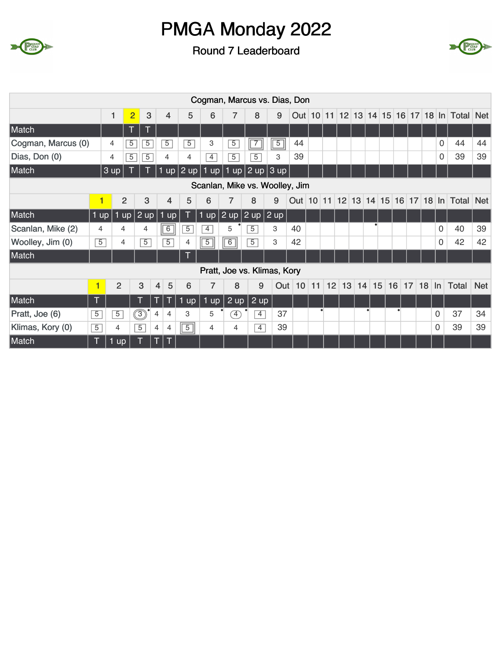



|                    |                |                |                |                |                |                |                |                | Cogman, Marcus vs. Dias, Don   |                   |            |                                   |    |           |    |    |           |    |    |    |         |          |                                             |            |
|--------------------|----------------|----------------|----------------|----------------|----------------|----------------|----------------|----------------|--------------------------------|-------------------|------------|-----------------------------------|----|-----------|----|----|-----------|----|----|----|---------|----------|---------------------------------------------|------------|
|                    |                | 1              | $\overline{2}$ | 3              |                | $\overline{4}$ | 5              | 6              | $\overline{7}$                 | 8                 | 9          | Out 10 11 12 13 14 15 16 17 18 In |    |           |    |    |           |    |    |    |         |          | Total Net                                   |            |
| Match              |                |                | Т              |                |                |                |                |                |                                |                   |            |                                   |    |           |    |    |           |    |    |    |         |          |                                             |            |
| Cogman, Marcus (0) |                | 4              | $\overline{5}$ | $\overline{5}$ |                | $\overline{5}$ | $\overline{5}$ | 3              | $\overline{5}$                 | $\sqrt{7}$        | $\sqrt{5}$ | 44                                |    |           |    |    |           |    |    |    |         | 0        | 44                                          | 44         |
| Dias, Don (0)      |                | 4              | $\overline{5}$ | $\overline{5}$ |                | $\overline{4}$ | 4              | $\overline{4}$ | $\overline{5}$                 | $\overline{5}$    | 3          | 39                                |    |           |    |    |           |    |    |    |         | 0        | 39                                          | 39         |
| Match              |                | 3 up           |                |                |                | $1$ up         |                |                | $ 2$ up $ 1$ up $ 1$ up $ $    | $2$ up $3$ up     |            |                                   |    |           |    |    |           |    |    |    |         |          |                                             |            |
|                    |                |                |                |                |                |                |                |                | Scanlan, Mike vs. Woolley, Jim |                   |            |                                   |    |           |    |    |           |    |    |    |         |          |                                             |            |
|                    | 1              |                | $\overline{2}$ | 3              |                | 4              | 5              | 6              | $\overline{7}$                 | 8                 | 9          |                                   |    |           |    |    |           |    |    |    |         |          | Out 10 11 12 13 14 15 16 17 18 In Total Net |            |
| Match              | $1$ up $\vert$ |                | $1$ up         | $2$ up         |                | $1$ up         | -1             | $1$ up         | $2$ up                         | $2$ up $2$ up     |            |                                   |    |           |    |    |           |    |    |    |         |          |                                             |            |
| Scanlan, Mike (2)  | 4              |                | 4              | 4              |                | $\overline{6}$ | $\overline{5}$ | $\overline{4}$ | 5                              | $\overline{5}$    | 3          | 40                                |    |           |    |    |           |    |    |    |         | 0        | 40                                          | 39         |
| Woolley, Jim (0)   | $\overline{5}$ |                | 4              | $\overline{5}$ |                | $\overline{5}$ | 4              | $\overline{5}$ | $\overline{6}$                 | 5                 | 3          | 42                                |    |           |    |    |           |    |    |    |         | 0        | 42                                          | 42         |
| Match              |                |                |                |                |                |                |                |                |                                |                   |            |                                   |    |           |    |    |           |    |    |    |         |          |                                             |            |
|                    |                |                |                |                |                |                |                |                | Pratt, Joe vs. Klimas, Kory    |                   |            |                                   |    |           |    |    |           |    |    |    |         |          |                                             |            |
|                    | 1              | $\overline{2}$ |                | $\mathbf{3}$   | $\overline{4}$ | 5              | 6              | 7              | 8                              | 9                 | Out        | 10                                | 11 | 12        | 13 | 14 |           | 15 | 16 | 17 | $18$ In |          | Total                                       | <b>Net</b> |
| Match              |                |                |                |                |                |                | <b>up</b>      | <b>up</b>      | 2 up                           | $2 \overline{up}$ |            |                                   |    |           |    |    |           |    |    |    |         |          |                                             |            |
| Pratt, Joe (6)     | $\overline{5}$ | $\overline{5}$ |                | $\circledS$    | $\overline{4}$ | $\overline{4}$ | 3              | 5              | $\left( 4\right)$              | $\overline{4}$    | 37         |                                   |    | $\bullet$ |    |    | $\bullet$ |    |    |    |         | 0        | 37                                          | 34         |
| Klimas, Kory (0)   | 5              | 4              |                | $\overline{5}$ | 4              | 4              | $\overline{5}$ | 4              | 4                              | $\overline{4}$    | 39         |                                   |    |           |    |    |           |    |    |    |         | $\Omega$ | 39                                          | 39         |
| Match              | Τ              | 1 up           |                |                | Т              | I T            |                |                |                                |                   |            |                                   |    |           |    |    |           |    |    |    |         |          |                                             |            |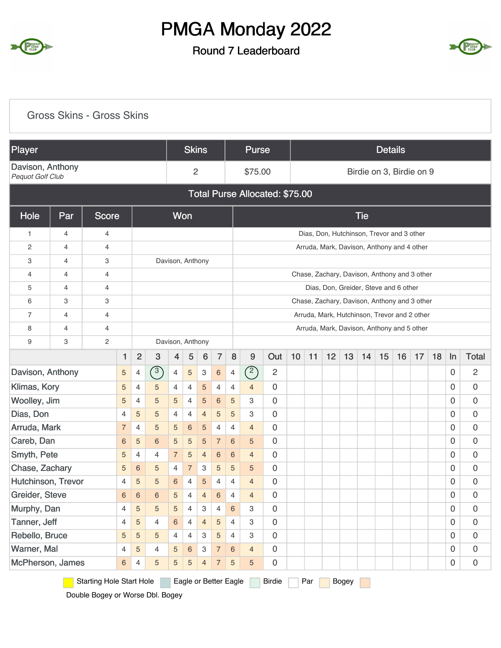

#### Round 7 Leaderboard



|                                                                                                                                  |                                                                                                                                                                        | <b>Gross Skins - Gross Skins</b> |                |                |                |                 |                       |                 |                |                 |                |                                |    |     |    |       |            |                |                                              |                     |    |                     |                     |
|----------------------------------------------------------------------------------------------------------------------------------|------------------------------------------------------------------------------------------------------------------------------------------------------------------------|----------------------------------|----------------|----------------|----------------|-----------------|-----------------------|-----------------|----------------|-----------------|----------------|--------------------------------|----|-----|----|-------|------------|----------------|----------------------------------------------|---------------------|----|---------------------|---------------------|
| <b>Player</b>                                                                                                                    |                                                                                                                                                                        |                                  |                |                |                |                 | <b>Skins</b>          |                 |                |                 | <b>Purse</b>   |                                |    |     |    |       |            | <b>Details</b> |                                              |                     |    |                     |                     |
| Davison, Anthony<br>Pequot Golf Club                                                                                             |                                                                                                                                                                        |                                  |                |                |                |                 | $\overline{2}$        |                 |                |                 | \$75.00        |                                |    |     |    |       |            |                | Birdie on 3, Birdie on 9                     |                     |    |                     |                     |
|                                                                                                                                  |                                                                                                                                                                        |                                  |                |                |                |                 |                       |                 |                |                 |                | Total Purse Allocated: \$75.00 |    |     |    |       |            |                |                                              |                     |    |                     |                     |
| Hole                                                                                                                             | Par                                                                                                                                                                    | <b>Score</b>                     |                |                |                |                 | Won                   |                 |                |                 |                |                                |    |     |    |       | <b>Tie</b> |                |                                              |                     |    |                     |                     |
| 1                                                                                                                                | 4                                                                                                                                                                      | 4                                |                |                |                |                 |                       |                 |                |                 |                |                                |    |     |    |       |            |                | Dias, Don, Hutchinson, Trevor and 3 other    |                     |    |                     |                     |
| 2                                                                                                                                | 4                                                                                                                                                                      | $\overline{4}$                   |                |                |                |                 |                       |                 |                |                 |                |                                |    |     |    |       |            |                | Arruda, Mark, Davison, Anthony and 4 other   |                     |    |                     |                     |
| 3                                                                                                                                | 4                                                                                                                                                                      | 3                                |                |                |                |                 | Davison, Anthony      |                 |                |                 |                |                                |    |     |    |       |            |                |                                              |                     |    |                     |                     |
| 4                                                                                                                                | 4                                                                                                                                                                      | 4                                |                |                |                |                 |                       |                 |                |                 |                |                                |    |     |    |       |            |                | Chase, Zachary, Davison, Anthony and 3 other |                     |    |                     |                     |
| 5                                                                                                                                | 4                                                                                                                                                                      | 4                                |                |                |                |                 |                       |                 |                |                 |                |                                |    |     |    |       |            |                | Dias, Don, Greider, Steve and 6 other        |                     |    |                     |                     |
| 6                                                                                                                                | 3                                                                                                                                                                      | 3                                |                |                |                |                 |                       |                 |                |                 |                |                                |    |     |    |       |            |                | Chase, Zachary, Davison, Anthony and 3 other |                     |    |                     |                     |
| $\overline{7}$                                                                                                                   | 4                                                                                                                                                                      | 4                                |                |                |                |                 |                       |                 |                |                 |                |                                |    |     |    |       |            |                | Arruda, Mark, Hutchinson, Trevor and 2 other |                     |    |                     |                     |
| 8                                                                                                                                | 4                                                                                                                                                                      | 4                                |                |                |                |                 |                       |                 |                |                 |                |                                |    |     |    |       |            |                | Arruda, Mark, Davison, Anthony and 5 other   |                     |    |                     |                     |
| 9                                                                                                                                | 3                                                                                                                                                                      | $\sqrt{2}$                       |                |                |                |                 | Davison, Anthony      |                 |                |                 |                |                                |    |     |    |       |            |                |                                              |                     |    |                     |                     |
|                                                                                                                                  |                                                                                                                                                                        |                                  | 1              | $\overline{2}$ | 3              | 4               | 5                     | $6\phantom{1}6$ | $\overline{7}$ | 8               | 9              | Out                            | 10 | 11  | 12 | 13    | 14         | 15             | 16                                           | 17                  | 18 | ln                  | <b>Total</b>        |
| Davison, Anthony                                                                                                                 |                                                                                                                                                                        |                                  | 5              | 4              | $\binom{3}{ }$ | $\overline{4}$  | $\sqrt{5}$            | 3               | $\,6\,$        | $\overline{4}$  | $\circled{2}$  | $\overline{c}$                 |    |     |    |       |            |                |                                              |                     |    | 0                   | 2                   |
| Klimas, Kory                                                                                                                     |                                                                                                                                                                        |                                  | 5              | $\overline{4}$ | 5              | $\overline{4}$  | 4                     | 5               | 4              | $\overline{4}$  | $\overline{4}$ | $\mathbf 0$                    |    |     |    |       |            |                |                                              |                     |    | $\mathbf 0$         | 0                   |
| Woolley, Jim                                                                                                                     |                                                                                                                                                                        |                                  | 5              | $\overline{4}$ | 5              | 5               | $\overline{4}$        | 5               | 6              | 5               | 3              | 0                              |    |     |    |       |            |                |                                              |                     |    | $\mathbf 0$         | 0                   |
| Dias, Don                                                                                                                        |                                                                                                                                                                        |                                  | 4              | $\sqrt{5}$     | 5              | $\overline{4}$  | 4                     | $\overline{4}$  | 5              | 5               | 3              | 0                              |    |     |    |       |            |                |                                              |                     |    | 0                   | $\mathsf{O}\xspace$ |
|                                                                                                                                  | Arruda, Mark<br>$\,$ 6 $\,$<br>0<br>0<br>$\mathbf 0$<br>5<br>$\sqrt{5}$<br>$\overline{5}$<br>$\overline{7}$<br>$\overline{4}$<br>4<br>$\overline{4}$<br>$\overline{4}$ |                                  |                |                |                |                 |                       |                 |                |                 |                |                                |    |     |    |       |            |                |                                              |                     |    |                     |                     |
| Careb, Dan                                                                                                                       |                                                                                                                                                                        |                                  | 6              | $\sqrt{5}$     | 6              | 5               | $\overline{5}$        | 5               | $\overline{7}$ | $6\phantom{1}6$ | 5              | $\mathbf 0$                    |    |     |    |       |            |                |                                              |                     |    | 0                   | 0                   |
| Smyth, Pete                                                                                                                      |                                                                                                                                                                        |                                  | 5              | $\overline{4}$ | 4              | $\overline{7}$  | $\sqrt{5}$            | $\overline{4}$  | 6              | 6               | $\overline{4}$ | 0                              |    |     |    |       |            |                |                                              |                     |    | 0                   | 0                   |
| Chase, Zachary                                                                                                                   |                                                                                                                                                                        |                                  | 5              | $\,$ 6 $\,$    | 5              | 4               | $\overline{7}$        | 3               | 5              | 5               | 5              | 0                              |    |     |    |       |            |                |                                              |                     |    | $\mathsf{O}\xspace$ | $\mathsf{O}\xspace$ |
| Hutchinson, Trevor                                                                                                               |                                                                                                                                                                        |                                  | 4              | $\sqrt{5}$     | 5              | $\,6\,$         | $\overline{4}$        | 5               | $\overline{4}$ | $\overline{4}$  | $\overline{4}$ | $\overline{0}$                 |    |     |    |       |            |                |                                              |                     |    | $\mathbf 0$         | $\mathbf 0$         |
| $\overline{0}$<br>Greider, Steve<br>$\,6\,$<br>$\,6\,$<br>6<br>$\overline{4}$<br>4<br>5<br>$\overline{4}$<br>6<br>$\overline{4}$ |                                                                                                                                                                        |                                  |                |                |                |                 |                       |                 |                |                 |                |                                |    |     |    |       |            |                | $\mathbf 0$                                  | $\mathsf{O}\xspace$ |    |                     |                     |
| Murphy, Dan                                                                                                                      |                                                                                                                                                                        |                                  | 4              | $\sqrt{5}$     | 5              | 5               | 4                     | 3               | 4              | $6\phantom{1}$  | 3              | $\overline{0}$                 |    |     |    |       |            |                |                                              |                     |    | $\mathbf 0$         | $\mathsf{O}\xspace$ |
| Tanner, Jeff                                                                                                                     |                                                                                                                                                                        |                                  | 4              | $\sqrt{5}$     | 4              | $6\phantom{.}6$ | 4                     | $\overline{4}$  | $\overline{5}$ | $\overline{4}$  | 3              | $\overline{0}$                 |    |     |    |       |            |                |                                              |                     |    | $\mathbf 0$         | $\mathsf{O}\xspace$ |
| Rebello, Bruce                                                                                                                   |                                                                                                                                                                        |                                  | 5              | $\sqrt{5}$     | 5              | 4               | 4                     | 3               | $\overline{5}$ | $\overline{4}$  | 3              | $\overline{0}$                 |    |     |    |       |            |                |                                              |                     |    | 0                   | $\mathsf{O}\xspace$ |
| Warner, Mal                                                                                                                      |                                                                                                                                                                        |                                  | 4              | $\sqrt{5}$     | $\overline{4}$ | 5               | $6\phantom{a}$        | $\mathbf{3}$    | $\overline{7}$ | $\sqrt{6}$      | $\overline{4}$ | $\mathbf 0$                    |    |     |    |       |            |                |                                              |                     |    | $\mathbf 0$         | $\mathsf{O}\xspace$ |
| McPherson, James                                                                                                                 |                                                                                                                                                                        |                                  | $6\phantom{a}$ | 4              | 5              | 5               | $\sqrt{5}$            | $\overline{4}$  | $\overline{7}$ | $\sqrt{5}$      | 5              | $\mathsf{O}\xspace$            |    |     |    |       |            |                |                                              |                     |    | $\boldsymbol{0}$    | $\mathsf{O}\xspace$ |
|                                                                                                                                  |                                                                                                                                                                        | <b>Starting Hole Start Hole</b>  |                |                |                |                 | Eagle or Better Eagle |                 |                |                 |                | <b>Birdie</b>                  |    | Par |    | Bogey |            |                |                                              |                     |    |                     |                     |

Double Bogey or Worse Dbl. Bogey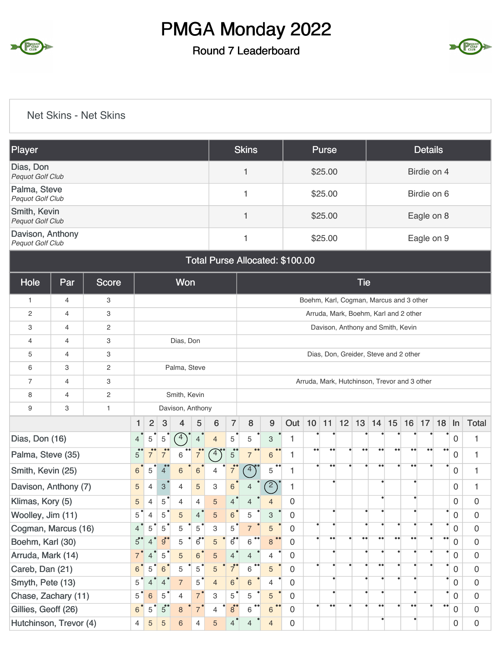#### Round 7 Leaderboard



#### Net Skins - Net Skins

| Player                                  |     |                |                |                        |                |                  |                |                                                                                                                                                                                                                                                                                                                                                                                                                                                                                                                                        |                | <b>Skins</b>          |                                 |                  |  | <b>Purse</b>     |  |                  |                   |                                         |                   | <b>Details</b>   |                   |                          |                  |
|-----------------------------------------|-----|----------------|----------------|------------------------|----------------|------------------|----------------|----------------------------------------------------------------------------------------------------------------------------------------------------------------------------------------------------------------------------------------------------------------------------------------------------------------------------------------------------------------------------------------------------------------------------------------------------------------------------------------------------------------------------------------|----------------|-----------------------|---------------------------------|------------------|--|------------------|--|------------------|-------------------|-----------------------------------------|-------------------|------------------|-------------------|--------------------------|------------------|
| Dias, Don<br>Pequot Golf Club           |     |                |                |                        |                |                  |                |                                                                                                                                                                                                                                                                                                                                                                                                                                                                                                                                        |                | 1                     |                                 |                  |  | \$25.00          |  |                  |                   |                                         |                   | Birdie on 4      |                   |                          |                  |
| Palma, Steve<br>Pequot Golf Club        |     |                |                |                        |                |                  |                |                                                                                                                                                                                                                                                                                                                                                                                                                                                                                                                                        |                | 1                     |                                 |                  |  | \$25.00          |  |                  |                   |                                         |                   | Birdie on 6      |                   |                          |                  |
| Smith, Kevin<br><b>Pequot Golf Club</b> |     |                |                |                        |                |                  |                |                                                                                                                                                                                                                                                                                                                                                                                                                                                                                                                                        |                | 1                     |                                 |                  |  | \$25.00          |  |                  |                   |                                         |                   | Eagle on 8       |                   |                          |                  |
| Davison, Anthony<br>Pequot Golf Club    |     |                |                |                        |                |                  |                |                                                                                                                                                                                                                                                                                                                                                                                                                                                                                                                                        |                | 1                     |                                 |                  |  | \$25.00          |  |                  |                   |                                         |                   | Eagle on 9       |                   |                          |                  |
|                                         |     |                |                |                        |                |                  |                |                                                                                                                                                                                                                                                                                                                                                                                                                                                                                                                                        |                |                       | Total Purse Allocated: \$100.00 |                  |  |                  |  |                  |                   |                                         |                   |                  |                   |                          |                  |
| Hole                                    | Par | Score          |                |                        |                | Won              |                |                                                                                                                                                                                                                                                                                                                                                                                                                                                                                                                                        |                |                       |                                 |                  |  |                  |  | <b>Tie</b>       |                   |                                         |                   |                  |                   |                          |                  |
| 1                                       | 4   | 3              |                |                        |                |                  |                |                                                                                                                                                                                                                                                                                                                                                                                                                                                                                                                                        |                |                       |                                 |                  |  |                  |  |                  |                   | Boehm, Karl, Cogman, Marcus and 3 other |                   |                  |                   |                          |                  |
| 2                                       | 4   | 3              |                |                        |                |                  |                |                                                                                                                                                                                                                                                                                                                                                                                                                                                                                                                                        |                |                       |                                 |                  |  |                  |  |                  |                   | Arruda, Mark, Boehm, Karl and 2 other   |                   |                  |                   |                          |                  |
| 3                                       | 4   | $\overline{c}$ |                |                        |                |                  |                |                                                                                                                                                                                                                                                                                                                                                                                                                                                                                                                                        |                |                       |                                 |                  |  |                  |  |                  |                   | Davison, Anthony and Smith, Kevin       |                   |                  |                   |                          |                  |
| 4                                       | 4   | 3              |                |                        |                | Dias, Don        |                |                                                                                                                                                                                                                                                                                                                                                                                                                                                                                                                                        |                |                       |                                 |                  |  |                  |  |                  |                   |                                         |                   |                  |                   |                          |                  |
| 5                                       | 4   | 3              |                |                        |                |                  |                |                                                                                                                                                                                                                                                                                                                                                                                                                                                                                                                                        |                |                       |                                 |                  |  |                  |  |                  |                   |                                         |                   |                  |                   |                          |                  |
| 6                                       | 3   | $\sqrt{2}$     |                |                        |                | Palma, Steve     |                | Dias, Don, Greider, Steve and 2 other<br>Arruda, Mark, Hutchinson, Trevor and 3 other<br>$\overline{7}$<br>12<br>13<br>15<br>6<br>8<br>$\boldsymbol{9}$<br>Out<br>10<br>14<br>11<br>$\mathbf 5$<br>5<br>$\ensuremath{\mathsf{3}}$<br>1<br>$\overline{4}$<br>$\bullet\,\bullet$<br>$\bullet\bullet$<br>$\bullet\bullet$<br>$5^{\circ}$<br>$\bullet\bullet$<br>$\bullet\bullet$<br>$\overline{4}$<br>$6\phantom{1}6$<br>$\overline{7}$<br>1<br>$\bullet\bullet$<br>$\bullet\bullet$<br>$\left(4\right)$<br>5<br>1<br>$\overline{7}$<br>4 |                |                       |                                 |                  |  |                  |  |                  |                   |                                         |                   |                  |                   |                          |                  |
| $\overline{7}$                          | 4   | 3              |                |                        |                |                  |                |                                                                                                                                                                                                                                                                                                                                                                                                                                                                                                                                        |                |                       |                                 |                  |  |                  |  |                  |                   |                                         |                   |                  |                   |                          |                  |
| 8                                       | 4   | $\sqrt{2}$     |                |                        |                | Smith, Kevin     |                |                                                                                                                                                                                                                                                                                                                                                                                                                                                                                                                                        |                |                       |                                 |                  |  |                  |  |                  |                   |                                         |                   |                  |                   |                          |                  |
| 9                                       | 3   | $\mathbf{1}$   |                |                        |                | Davison, Anthony |                |                                                                                                                                                                                                                                                                                                                                                                                                                                                                                                                                        |                |                       |                                 |                  |  |                  |  |                  |                   |                                         |                   |                  |                   |                          |                  |
|                                         |     |                | 1              | $\overline{2}$         | 3              | 4                | 5              |                                                                                                                                                                                                                                                                                                                                                                                                                                                                                                                                        |                |                       |                                 |                  |  |                  |  |                  |                   |                                         | 16                | 17               | 18                | $\ln$                    | <b>Total</b>     |
| Dias, Don (16)                          |     |                | 4              | 5                      | $\mathbf 5$    | 4                | 4              |                                                                                                                                                                                                                                                                                                                                                                                                                                                                                                                                        |                |                       |                                 |                  |  |                  |  |                  |                   |                                         |                   |                  |                   | 0                        | 1                |
| Palma, Steve (35)                       |     |                | $\overline{5}$ | $\overline{7}^{\circ}$ | 7              | 6                |                |                                                                                                                                                                                                                                                                                                                                                                                                                                                                                                                                        |                |                       |                                 |                  |  |                  |  |                  |                   |                                         | $\bullet\bullet$  | $\bullet\bullet$ | $\bullet \bullet$ | $\mathbf 0$              | 1                |
| Smith, Kevin (25)                       |     |                | 6              | 5                      | 4              | $\,6$            | 6              |                                                                                                                                                                                                                                                                                                                                                                                                                                                                                                                                        |                |                       |                                 |                  |  |                  |  |                  |                   |                                         | $\bullet\bullet$  |                  |                   | 0                        | $\mathbf{1}$     |
| Davison, Anthony (7)                    |     |                | 5              | 4                      | 3              | 4                | 5              | 3                                                                                                                                                                                                                                                                                                                                                                                                                                                                                                                                      | 6              |                       | $\overline{c}$                  | 1                |  | ٠                |  |                  | ٠                 |                                         |                   |                  |                   | 0                        | 1                |
| Klimas, Kory (5)                        |     |                | 5              | $\overline{4}$         | 5              | $\overline{4}$   | $\overline{4}$ | 5                                                                                                                                                                                                                                                                                                                                                                                                                                                                                                                                      | 4              |                       | 4                               | 0                |  |                  |  |                  | $\bullet$         |                                         |                   |                  |                   | $\mathbf 0$              | 0                |
| Woolley, Jim (11)                       |     |                | $5^{\degree}$  | 4                      | 5              | $\sqrt{5}$       | $\overline{4}$ | 5                                                                                                                                                                                                                                                                                                                                                                                                                                                                                                                                      | $\,$ 6 $\,$    | 5                     | $\ensuremath{\mathsf{3}}$       | $\mathbf 0$      |  |                  |  |                  |                   |                                         |                   |                  |                   | ٠<br>$\mathsf{O}\xspace$ | $\boldsymbol{0}$ |
| Cogman, Marcus (16)                     |     |                | $4^{\degree}$  | $5^{\circ}$            | 5              | 5                | 5              | 3                                                                                                                                                                                                                                                                                                                                                                                                                                                                                                                                      | $5^{\degree}$  | $\overline{7}$        | $\sqrt{5}$                      | $\mathbf 0$      |  |                  |  |                  |                   |                                         |                   |                  | ٠                 | $\mathbf 0$              | $\mathbf 0$      |
| Boehm, Karl (30)                        |     |                | $5^{\circ}$    | 4                      | $9^{\circ}$    | 5                | $6^{\circ}$    | 5                                                                                                                                                                                                                                                                                                                                                                                                                                                                                                                                      | $6^{\bullet}$  | 6                     | 8                               | 0                |  | $\bullet\bullet$ |  | $\bullet\bullet$ | $\bullet\bullet$  | $\bullet\,\bullet$                      | $\bullet \bullet$ |                  | $\bullet$         | $\mathbf 0$              | $\mathbf 0$      |
| Arruda, Mark (14)                       |     |                | $7^{\degree}$  | $4^{\degree}$          | $\mathbf 5$    | 5                | 6              | 5                                                                                                                                                                                                                                                                                                                                                                                                                                                                                                                                      | $\overline{4}$ | $\overline{4}$        | 4                               | $\mathbf 0$      |  |                  |  |                  |                   |                                         |                   |                  | ٠                 | $\mathsf{O}$             | $\mathbf 0$      |
| Careb, Dan (21)                         |     |                | 6 <sup>°</sup> | 5 <sup>°</sup>         | $\,6\,$        | 5                | 5              | 5                                                                                                                                                                                                                                                                                                                                                                                                                                                                                                                                      | $7^{\circ}$    | $\bullet\bullet$<br>6 | $\sqrt{5}$                      | $\mathbf 0$      |  |                  |  |                  | $\bullet\bullet$  |                                         |                   |                  | ٠                 | $\mathbf 0$              | $\mathbf 0$      |
| Smyth, Pete (13)                        |     |                | $5^{\degree}$  | 4                      | $\overline{4}$ | $\overline{7}$   | 5              | $\overline{4}$                                                                                                                                                                                                                                                                                                                                                                                                                                                                                                                         | $6^{\degree}$  | 6                     | 4                               | $\mathbf 0$      |  |                  |  |                  |                   |                                         |                   |                  |                   | ٠<br>$\mathbf 0$         | $\mathbf 0$      |
| Chase, Zachary (11)                     |     |                | $5^{\degree}$  | $\,$ 6 $\,$            | $5^{\degree}$  | $\overline{4}$   | $\overline{7}$ | 3                                                                                                                                                                                                                                                                                                                                                                                                                                                                                                                                      | $5^{\degree}$  | 5                     | $\overline{5}$                  | 0                |  | ٠                |  | ٠                |                   |                                         |                   |                  | $\bullet$         | $\mathbf 0$              | $\mathbf 0$      |
| Gillies, Geoff (26)                     |     |                | 6 <sup>°</sup> | 5                      | $5^{\circ}$    | 8                | $\overline{7}$ | $\overline{4}$                                                                                                                                                                                                                                                                                                                                                                                                                                                                                                                         | $8^{\bullet}$  | $\bullet\bullet$<br>6 | $6\phantom{1}$                  | $\mathbf 0$      |  | $\bullet\bullet$ |  |                  | $\bullet \bullet$ |                                         | $\bullet$         |                  | $\bullet\bullet$  | $\mathbf 0$              | $\mathbf 0$      |
| Hutchinson, Trevor (4)                  |     |                | $\overline{4}$ | 5                      | $\sqrt{5}$     | $\,$ 6 $\,$      | 4              | 5                                                                                                                                                                                                                                                                                                                                                                                                                                                                                                                                      | $\overline{4}$ | $\overline{4}$        | $\overline{4}$                  | $\boldsymbol{0}$ |  |                  |  |                  | $\bullet$         |                                         |                   |                  |                   | $\mathbf 0$              | $\boldsymbol{0}$ |

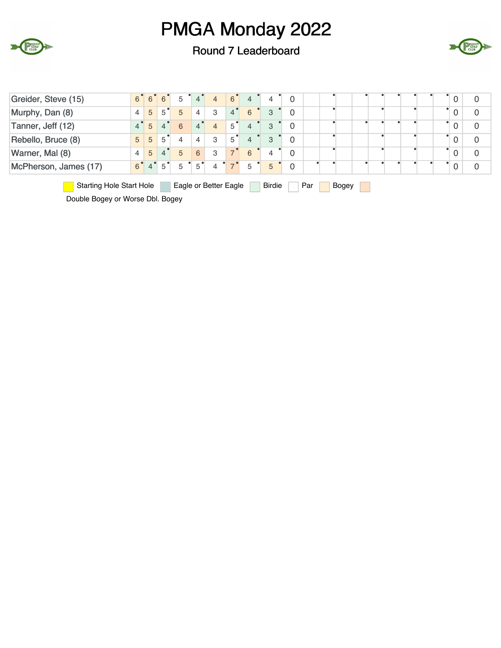

Round 7 Leaderboard



| Greider, Steve (15)                                                                       | $6^{\circ}$    | 6              | 6 | 5 | 4              | 4                     | $6^{\circ}$    | $\overline{4}$ | 4             | 0              |     |       |  |  |  | 0 |
|-------------------------------------------------------------------------------------------|----------------|----------------|---|---|----------------|-----------------------|----------------|----------------|---------------|----------------|-----|-------|--|--|--|---|
| Murphy, Dan (8)                                                                           | $\overline{4}$ | 5              | 5 | 5 | 4              | 3                     | $\overline{4}$ | 6              | 3             | $\overline{0}$ |     |       |  |  |  | 0 |
| Tanner, Jeff (12)                                                                         | $4^{\degree}$  | 5              | 4 | 6 | 4              | $\overline{4}$        | 5              | $\overline{4}$ | 3             | $\overline{0}$ |     |       |  |  |  | 0 |
| Rebello, Bruce (8)                                                                        | 5              | 5              | 5 | 4 | $\overline{4}$ | 3                     | 5              | $\overline{4}$ | 3             | $\overline{0}$ |     |       |  |  |  | 0 |
| Warner, Mal (8)<br>$\overline{4}$<br>5<br>$\mathbf{0}$<br>5<br>0<br>6<br>3<br>6<br>4<br>4 |                |                |   |   |                |                       |                |                |               |                |     |       |  |  |  |   |
| McPherson, James (17)                                                                     | $6^{\degree}$  | $\overline{4}$ | 5 | 5 | 5              | 4                     |                | 5              | 5             | $\overline{0}$ |     |       |  |  |  |   |
| <b>Starting Hole Start Hole</b>                                                           |                |                |   |   |                | Eagle or Better Eagle |                |                | <b>Birdie</b> |                | Par | Bogey |  |  |  |   |

Double Bogey or Worse Dbl. Bogey